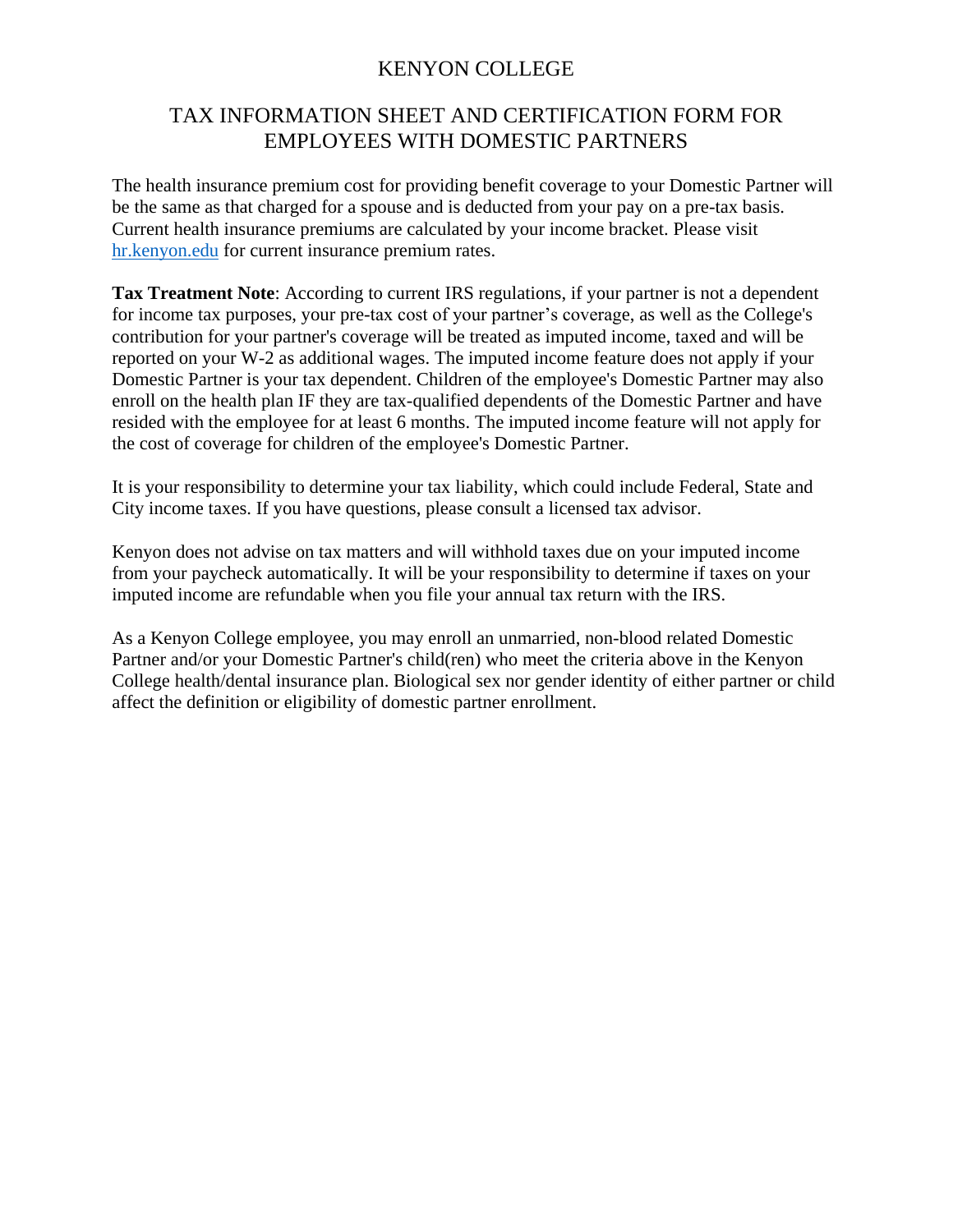# KENYON COLLEGE

# TAX INFORMATION SHEET AND CERTIFICATION FORM FOR EMPLOYEES WITH DOMESTIC PARTNERS

The health insurance premium cost for providing benefit coverage to your Domestic Partner will be the same as that charged for a spouse and is deducted from your pay on a pre-tax basis. Current health insurance premiums are calculated by your income bracket. Please visit [hr.kenyon.edu](http://hr.kenyon.edu/) for current insurance premium rates.

**Tax Treatment Note**: According to current IRS regulations, if your partner is not a dependent for income tax purposes, your pre-tax cost of your partner's coverage, as well as the College's contribution for your partner's coverage will be treated as imputed income, taxed and will be reported on your W-2 as additional wages. The imputed income feature does not apply if your Domestic Partner is your tax dependent. Children of the employee's Domestic Partner may also enroll on the health plan IF they are tax-qualified dependents of the Domestic Partner and have resided with the employee for at least 6 months. The imputed income feature will not apply for the cost of coverage for children of the employee's Domestic Partner.

It is your responsibility to determine your tax liability, which could include Federal, State and City income taxes. If you have questions, please consult a licensed tax advisor.

Kenyon does not advise on tax matters and will withhold taxes due on your imputed income from your paycheck automatically. It will be your responsibility to determine if taxes on your imputed income are refundable when you file your annual tax return with the IRS.

As a Kenyon College employee, you may enroll an unmarried, non-blood related Domestic Partner and/or your Domestic Partner's child(ren) who meet the criteria above in the Kenyon College health/dental insurance plan. Biological sex nor gender identity of either partner or child affect the definition or eligibility of domestic partner enrollment.